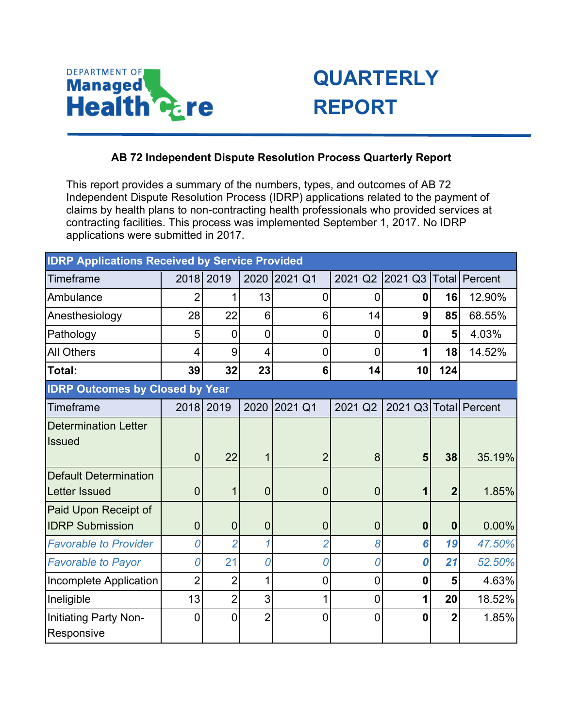

## **QUARTERLY REPORT**

## **AB 72 Independent Dispute Resolution Process Quarterly Report**

This report provides a summary of the numbers, types, and outcomes of AB 72 Independent Dispute Resolution Process (IDRP) applications related to the payment of claims by health plans to non-contracting health professionals who provided services at contracting facilities. This process was implemented September 1, 2017. No IDRP applications were submitted in 2017.

| <b>IDRP Applications Received by Service Provided</b> |                |                |                |                 |                |                       |                |        |  |  |  |  |
|-------------------------------------------------------|----------------|----------------|----------------|-----------------|----------------|-----------------------|----------------|--------|--|--|--|--|
| Timeframe                                             | 2018           | 2019           | 2020           | 2021 Q1         | 2021 Q2        | 2021 Q3 Total Percent |                |        |  |  |  |  |
| Ambulance                                             | 2              | 1              | 13             | $\mathbf 0$     | $\mathbf 0$    | 0                     | 16             | 12.90% |  |  |  |  |
| Anesthesiology                                        | 28             | 22             | 6              | $6\phantom{1}6$ | 14             | 9                     | 85             | 68.55% |  |  |  |  |
| Pathology                                             | 5              | 0              | 0              | $\mathbf 0$     | $\mathbf 0$    | 0                     | 5              | 4.03%  |  |  |  |  |
| <b>All Others</b>                                     | 4              | 9              | 4              | $\overline{0}$  | $\overline{0}$ | 1                     | 18             | 14.52% |  |  |  |  |
| Total:                                                | 39             | 32             | 23             | 6               | 14             | 10                    | 124            |        |  |  |  |  |
| <b>IDRP Outcomes by Closed by Year</b>                |                |                |                |                 |                |                       |                |        |  |  |  |  |
| Timeframe                                             |                | 2018 2019      | 2020           | 2021 Q1         | 2021 Q2        | 2021 Q3 Total Percent |                |        |  |  |  |  |
| <b>Determination Letter</b>                           |                |                |                |                 |                |                       |                |        |  |  |  |  |
| <b>Issued</b>                                         |                |                |                |                 |                |                       |                |        |  |  |  |  |
|                                                       | $\overline{0}$ | 22             | 1              | $\overline{2}$  | 8              | 5                     | 38             | 35.19% |  |  |  |  |
| <b>Default Determination</b>                          |                |                |                |                 |                |                       |                |        |  |  |  |  |
| <b>Letter Issued</b>                                  | 0              | 1              | $\overline{0}$ | $\theta$        | $\mathbf 0$    | 1                     | $\overline{2}$ | 1.85%  |  |  |  |  |
| Paid Upon Receipt of                                  |                |                |                |                 |                |                       |                |        |  |  |  |  |
| <b>IDRP Submission</b>                                | 0              | $\overline{0}$ | $\overline{0}$ | $\theta$        | $\mathbf 0$    | $\mathbf 0$           | $\mathbf 0$    | 0.00%  |  |  |  |  |
| <b>Favorable to Provider</b>                          | 0              | $\overline{2}$ | 1              | $\overline{2}$  | 8              | 6                     | 19             | 47.50% |  |  |  |  |
| <b>Favorable to Payor</b>                             | 0              | 21             | 0              | 0               | 0              | 0                     | 21             | 52.50% |  |  |  |  |
| Incomplete Application                                | $\overline{2}$ | $\overline{2}$ | 1              | $\overline{0}$  | $\overline{0}$ | 0                     | 5              | 4.63%  |  |  |  |  |
| Ineligible                                            | 13             | $\overline{2}$ | 3              | 1               | $\mathbf 0$    | 1                     | 20             | 18.52% |  |  |  |  |
| Initiating Party Non-                                 | 0              | 0              | $\overline{2}$ | $\overline{0}$  | $\overline{0}$ | 0                     | $\overline{2}$ | 1.85%  |  |  |  |  |
| Responsive                                            |                |                |                |                 |                |                       |                |        |  |  |  |  |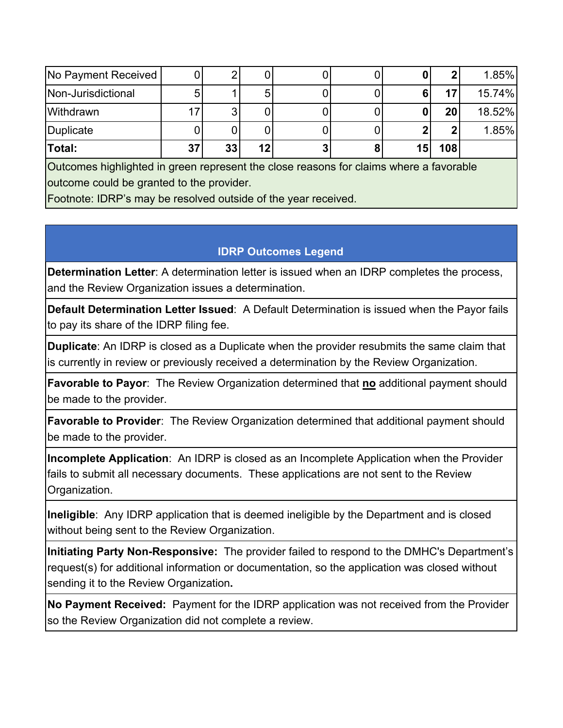|                                                                                        |  |    |                 |  |   | 2   | 1.85%  |  |  |  |  |  |
|----------------------------------------------------------------------------------------|--|----|-----------------|--|---|-----|--------|--|--|--|--|--|
|                                                                                        |  |    |                 |  | 6 | 17  | 15.74% |  |  |  |  |  |
|                                                                                        |  |    |                 |  |   | 20  | 18.52% |  |  |  |  |  |
|                                                                                        |  |    |                 |  |   | 2   | 1.85%  |  |  |  |  |  |
| 37                                                                                     |  | 12 |                 |  |   | 108 |        |  |  |  |  |  |
| Outcomes highlighted in green represent the close reasons for claims where a favorable |  |    |                 |  |   |     |        |  |  |  |  |  |
| outcome could be granted to the provider.                                              |  |    |                 |  |   |     |        |  |  |  |  |  |
|                                                                                        |  |    | 33 <sub>1</sub> |  |   |     | 15     |  |  |  |  |  |

Footnote: IDRP's may be resolved outside of the year received.

## **IDRP Outcomes Legend**

**Determination Letter**: A determination letter is issued when an IDRP completes the process, and the Review Organization issues a determination.

**Default Determination Letter Issued**: A Default Determination is issued when the Payor fails to pay its share of the IDRP filing fee.

**Duplicate**: An IDRP is closed as a Duplicate when the provider resubmits the same claim that is currently in review or previously received a determination by the Review Organization.

**Favorable to Payor**: The Review Organization determined that **no** additional payment should be made to the provider.

**Favorable to Provider**: The Review Organization determined that additional payment should be made to the provider.

**Incomplete Application**: An IDRP is closed as an Incomplete Application when the Provider fails to submit all necessary documents. These applications are not sent to the Review Organization.

**Ineligible**: Any IDRP application that is deemed ineligible by the Department and is closed without being sent to the Review Organization.

**Initiating Party Non-Responsive:** The provider failed to respond to the DMHC's Department's request(s) for additional information or documentation, so the application was closed without sending it to the Review Organization**.**

**No Payment Received:** Payment for the IDRP application was not received from the Provider so the Review Organization did not complete a review.